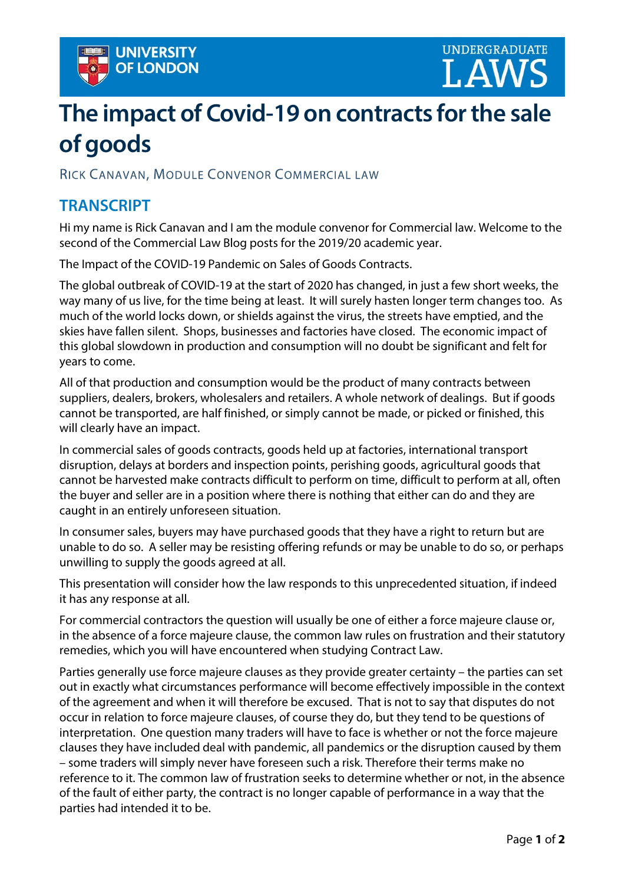

## **The impact of Covid-19 on contracts for the sale of goods**

RICK CANAVAN, MODULE CONVENOR COMMERCIAL LAW

## **TRANSCRIPT**

Hi my name is Rick Canavan and I am the module convenor for Commercial law. Welcome to the second of the Commercial Law Blog posts for the 2019/20 academic year.

The Impact of the COVID-19 Pandemic on Sales of Goods Contracts.

The global outbreak of COVID-19 at the start of 2020 has changed, in just a few short weeks, the way many of us live, for the time being at least. It will surely hasten longer term changes too. As much of the world locks down, or shields against the virus, the streets have emptied, and the skies have fallen silent. Shops, businesses and factories have closed. The economic impact of this global slowdown in production and consumption will no doubt be significant and felt for years to come.

All of that production and consumption would be the product of many contracts between suppliers, dealers, brokers, wholesalers and retailers. A whole network of dealings. But if goods cannot be transported, are half finished, or simply cannot be made, or picked or finished, this will clearly have an impact.

In commercial sales of goods contracts, goods held up at factories, international transport disruption, delays at borders and inspection points, perishing goods, agricultural goods that cannot be harvested make contracts difficult to perform on time, difficult to perform at all, often the buyer and seller are in a position where there is nothing that either can do and they are caught in an entirely unforeseen situation.

In consumer sales, buyers may have purchased goods that they have a right to return but are unable to do so. A seller may be resisting offering refunds or may be unable to do so, or perhaps unwilling to supply the goods agreed at all.

This presentation will consider how the law responds to this unprecedented situation, if indeed it has any response at all.

For commercial contractors the question will usually be one of either a force majeure clause or, in the absence of a force majeure clause, the common law rules on frustration and their statutory remedies, which you will have encountered when studying Contract Law.

Parties generally use force majeure clauses as they provide greater certainty – the parties can set out in exactly what circumstances performance will become effectively impossible in the context of the agreement and when it will therefore be excused. That is not to say that disputes do not occur in relation to force majeure clauses, of course they do, but they tend to be questions of interpretation. One question many traders will have to face is whether or not the force majeure clauses they have included deal with pandemic, all pandemics or the disruption caused by them – some traders will simply never have foreseen such a risk. Therefore their terms make no reference to it. The common law of frustration seeks to determine whether or not, in the absence of the fault of either party, the contract is no longer capable of performance in a way that the parties had intended it to be.

**UNDERGRADUATE** 

**LAWS**